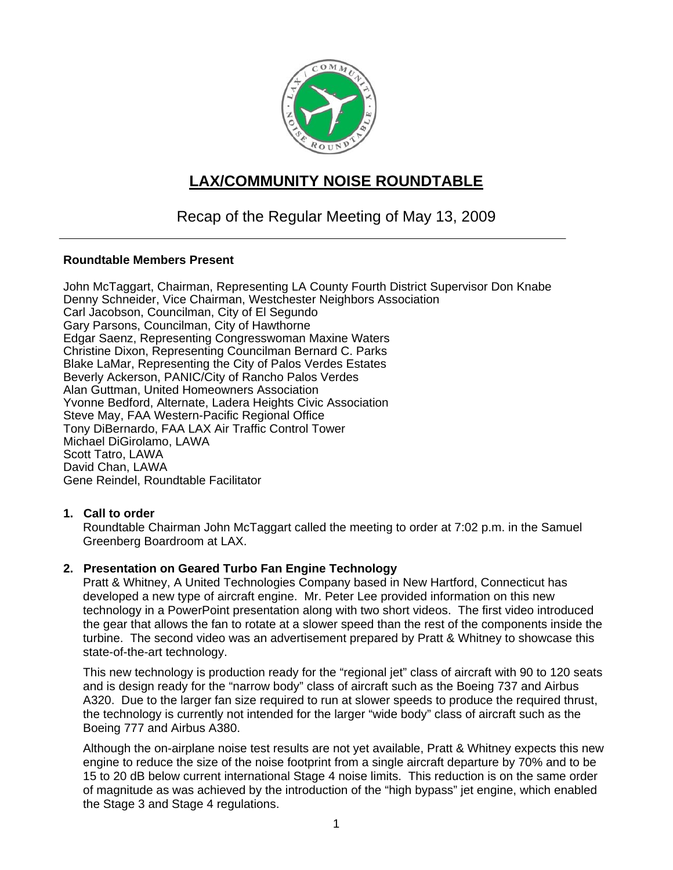

# **LAX/COMMUNITY NOISE ROUNDTABLE**

## Recap of the Regular Meeting of May 13, 2009

#### **Roundtable Members Present**

John McTaggart, Chairman, Representing LA County Fourth District Supervisor Don Knabe Denny Schneider, Vice Chairman, Westchester Neighbors Association Carl Jacobson, Councilman, City of El Segundo Gary Parsons, Councilman, City of Hawthorne Edgar Saenz, Representing Congresswoman Maxine Waters Christine Dixon, Representing Councilman Bernard C. Parks Blake LaMar, Representing the City of Palos Verdes Estates Beverly Ackerson, PANIC/City of Rancho Palos Verdes Alan Guttman, United Homeowners Association Yvonne Bedford, Alternate, Ladera Heights Civic Association Steve May, FAA Western-Pacific Regional Office Tony DiBernardo, FAA LAX Air Traffic Control Tower Michael DiGirolamo, LAWA Scott Tatro, LAWA David Chan, LAWA Gene Reindel, Roundtable Facilitator

#### **1. Call to order**

Roundtable Chairman John McTaggart called the meeting to order at 7:02 p.m. in the Samuel Greenberg Boardroom at LAX.

#### **2. Presentation on Geared Turbo Fan Engine Technology**

Pratt & Whitney, A United Technologies Company based in New Hartford, Connecticut has developed a new type of aircraft engine. Mr. Peter Lee provided information on this new technology in a PowerPoint presentation along with two short videos. The first video introduced the gear that allows the fan to rotate at a slower speed than the rest of the components inside the turbine. The second video was an advertisement prepared by Pratt & Whitney to showcase this state-of-the-art technology.

This new technology is production ready for the "regional jet" class of aircraft with 90 to 120 seats and is design ready for the "narrow body" class of aircraft such as the Boeing 737 and Airbus A320. Due to the larger fan size required to run at slower speeds to produce the required thrust, the technology is currently not intended for the larger "wide body" class of aircraft such as the Boeing 777 and Airbus A380.

Although the on-airplane noise test results are not yet available, Pratt & Whitney expects this new engine to reduce the size of the noise footprint from a single aircraft departure by 70% and to be 15 to 20 dB below current international Stage 4 noise limits. This reduction is on the same order of magnitude as was achieved by the introduction of the "high bypass" jet engine, which enabled the Stage 3 and Stage 4 regulations.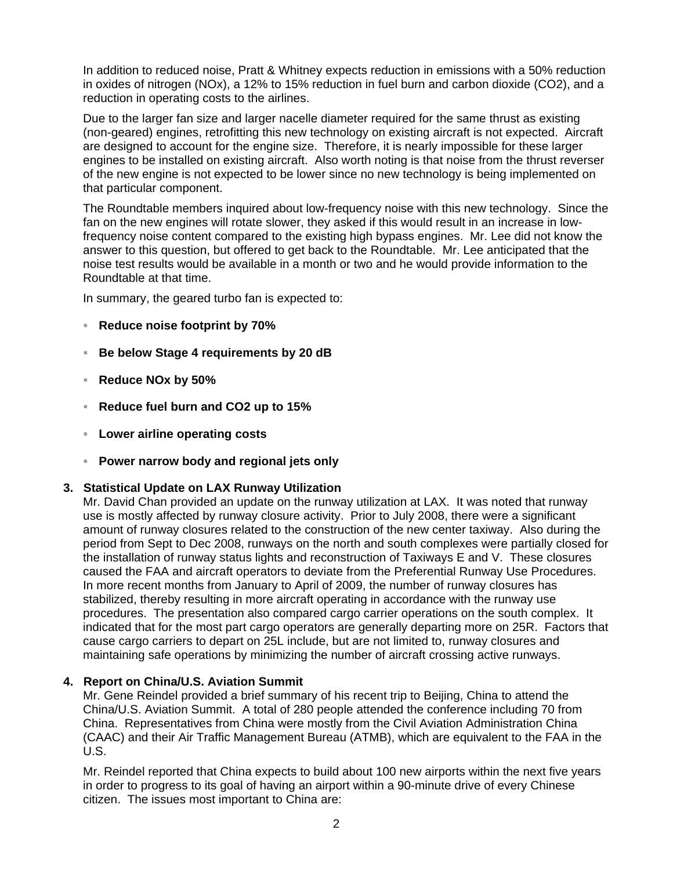In addition to reduced noise, Pratt & Whitney expects reduction in emissions with a 50% reduction in oxides of nitrogen (NOx), a 12% to 15% reduction in fuel burn and carbon dioxide (CO2), and a reduction in operating costs to the airlines.

Due to the larger fan size and larger nacelle diameter required for the same thrust as existing (non-geared) engines, retrofitting this new technology on existing aircraft is not expected. Aircraft are designed to account for the engine size. Therefore, it is nearly impossible for these larger engines to be installed on existing aircraft. Also worth noting is that noise from the thrust reverser of the new engine is not expected to be lower since no new technology is being implemented on that particular component.

The Roundtable members inquired about low-frequency noise with this new technology. Since the fan on the new engines will rotate slower, they asked if this would result in an increase in lowfrequency noise content compared to the existing high bypass engines. Mr. Lee did not know the answer to this question, but offered to get back to the Roundtable. Mr. Lee anticipated that the noise test results would be available in a month or two and he would provide information to the Roundtable at that time.

In summary, the geared turbo fan is expected to:

- **Reduce noise footprint by 70%**
- **Be below Stage 4 requirements by 20 dB**
- **Reduce NOx by 50%**
- **Reduce fuel burn and CO2 up to 15%**
- **Lower airline operating costs**
- **Power narrow body and regional jets only**

#### **3. Statistical Update on LAX Runway Utilization**

Mr. David Chan provided an update on the runway utilization at LAX. It was noted that runway use is mostly affected by runway closure activity. Prior to July 2008, there were a significant amount of runway closures related to the construction of the new center taxiway. Also during the period from Sept to Dec 2008, runways on the north and south complexes were partially closed for the installation of runway status lights and reconstruction of Taxiways E and V. These closures caused the FAA and aircraft operators to deviate from the Preferential Runway Use Procedures. In more recent months from January to April of 2009, the number of runway closures has stabilized, thereby resulting in more aircraft operating in accordance with the runway use procedures. The presentation also compared cargo carrier operations on the south complex. It indicated that for the most part cargo operators are generally departing more on 25R. Factors that cause cargo carriers to depart on 25L include, but are not limited to, runway closures and maintaining safe operations by minimizing the number of aircraft crossing active runways.

### **4. Report on China/U.S. Aviation Summit**

Mr. Gene Reindel provided a brief summary of his recent trip to Beijing, China to attend the China/U.S. Aviation Summit. A total of 280 people attended the conference including 70 from China. Representatives from China were mostly from the Civil Aviation Administration China (CAAC) and their Air Traffic Management Bureau (ATMB), which are equivalent to the FAA in the U.S.

Mr. Reindel reported that China expects to build about 100 new airports within the next five years in order to progress to its goal of having an airport within a 90-minute drive of every Chinese citizen. The issues most important to China are: